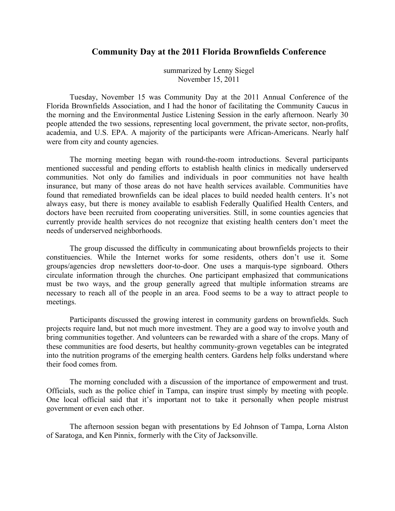## **Community Day at the 2011 Florida Brownfields Conference**

summarized by Lenny Siegel November 15, 2011

Tuesday, November 15 was Community Day at the 2011 Annual Conference of the Florida Brownfields Association, and I had the honor of facilitating the Community Caucus in the morning and the Environmental Justice Listening Session in the early afternoon. Nearly 30 people attended the two sessions, representing local government, the private sector, non-profits, academia, and U.S. EPA. A majority of the participants were African-Americans. Nearly half were from city and county agencies.

The morning meeting began with round-the-room introductions. Several participants mentioned successful and pending efforts to establish health clinics in medically underserved communities. Not only do families and individuals in poor communities not have health insurance, but many of those areas do not have health services available. Communities have found that remediated brownfields can be ideal places to build needed health centers. It's not always easy, but there is money available to esablish Federally Qualified Health Centers, and doctors have been recruited from cooperating universities. Still, in some counties agencies that currently provide health services do not recognize that existing health centers don't meet the needs of underserved neighborhoods.

The group discussed the difficulty in communicating about brownfields projects to their constituencies. While the Internet works for some residents, others don't use it. Some groups/agencies drop newsletters door-to-door. One uses a marquis-type signboard. Others circulate information through the churches. One participant emphasized that communications must be two ways, and the group generally agreed that multiple information streams are necessary to reach all of the people in an area. Food seems to be a way to attract people to meetings.

Participants discussed the growing interest in community gardens on brownfields. Such projects require land, but not much more investment. They are a good way to involve youth and bring communities together. And volunteers can be rewarded with a share of the crops. Many of these communities are food deserts, but healthy community-grown vegetables can be integrated into the nutrition programs of the emerging health centers. Gardens help folks understand where their food comes from.

The morning concluded with a discussion of the importance of empowerment and trust. Officials, such as the police chief in Tampa, can inspire trust simply by meeting with people. One local official said that it's important not to take it personally when people mistrust government or even each other.

The afternoon session began with presentations by Ed Johnson of Tampa, Lorna Alston of Saratoga, and Ken Pinnix, formerly with the City of Jacksonville.